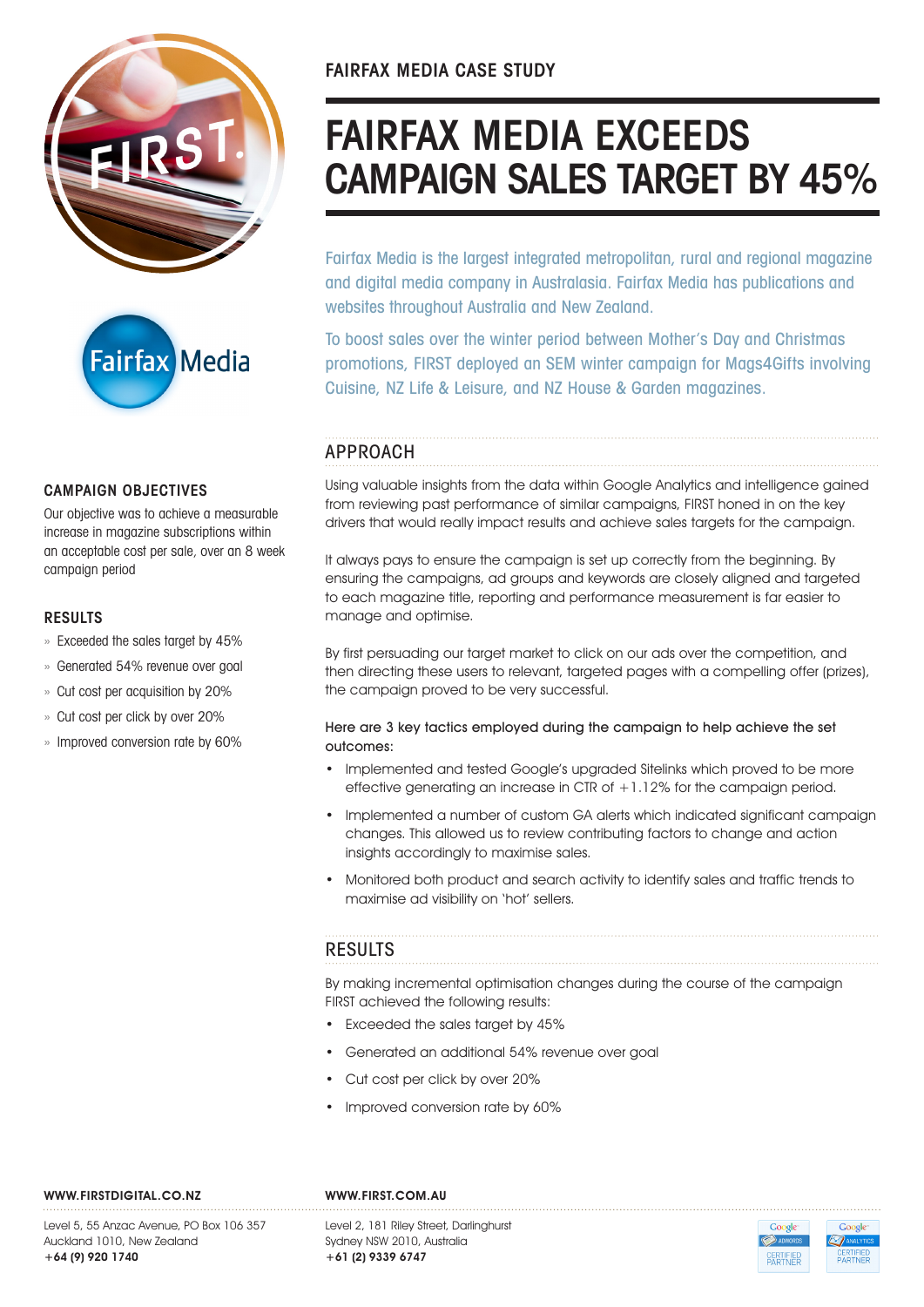



## CAMPAIGN OBJECTIVES

Our objective was to achieve a measurable increase in magazine subscriptions within an acceptable cost per sale, over an 8 week campaign period

### RESULTS

- » Exceeded the sales target by 45%
- » Generated 54% revenue over goal
- » Cut cost per acquisition by 20%
- » Cut cost per click by over 20%
- » Improved conversion rate by 60%

# FAIRFAX MEDIA EXCEEDS CAMPAIGN SALES TARGET BY 45%

Fairfax Media is the largest integrated metropolitan, rural and regional magazine and digital media company in Australasia. Fairfax Media has publications and websites throughout Australia and New Zealand.

To boost sales over the winter period between Mother's Day and Christmas promotions, FIRST deployed an SEM winter campaign for Mags4Gifts involving Cuisine, NZ Life & Leisure, and NZ House & Garden magazines.

## APPROACH

Using valuable insights from the data within Google Analytics and intelligence gained from reviewing past performance of similar campaigns, FIRST honed in on the key drivers that would really impact results and achieve sales targets for the campaign.

It always pays to ensure the campaign is set up correctly from the beginning. By ensuring the campaigns, ad groups and keywords are closely aligned and targeted to each magazine title, reporting and performance measurement is far easier to manage and optimise.

By first persuading our target market to click on our ads over the competition, and then directing these users to relevant, targeted pages with a compelling offer (prizes), the campaign proved to be very successful.

#### Here are 3 key tactics employed during the campaign to help achieve the set outcomes:

- Implemented and tested Google's upgraded Sitelinks which proved to be more effective generating an increase in CTR of +1.12% for the campaign period.
- Implemented a number of custom GA alerts which indicated significant campaign changes. This allowed us to review contributing factors to change and action insights accordingly to maximise sales.
- Monitored both product and search activity to identify sales and traffic trends to maximise ad visibility on 'hot' sellers.

# RESULTS

By making incremental optimisation changes during the course of the campaign FIRST achieved the following results:

- Exceeded the sales target by 45%
- Generated an additional 54% revenue over goal
- Cut cost per click by over 20%
- Improved conversion rate by 60%

WWW.FIRSTDIGITAL.CO.NZ WWW.FIRST.COM.AU

Level 5, 55 Anzac Avenue, PO Box 106 357 Auckland 1010, New Zealand +64 (9) 920 1740

Level 2, 181 Riley Street, Darlinghurst Sydney NSW 2010, Australia +61 (2) 9339 6747